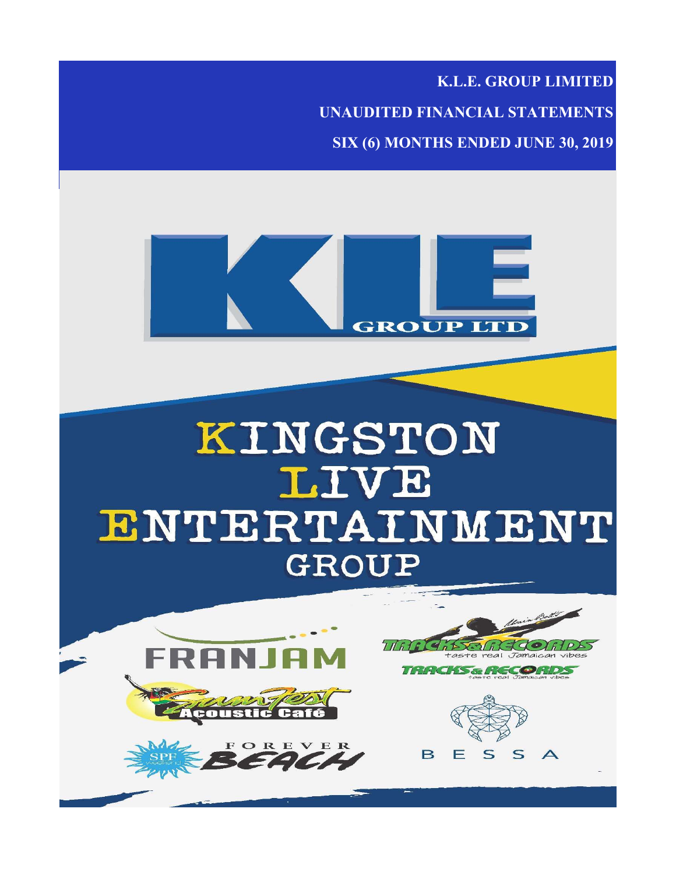**K.L.E. GROUP LIMITED**

**UNAUDITED FINANCIAL STATEMENTS SIX (6) MONTHS ENDED JUNE 30, 2019**

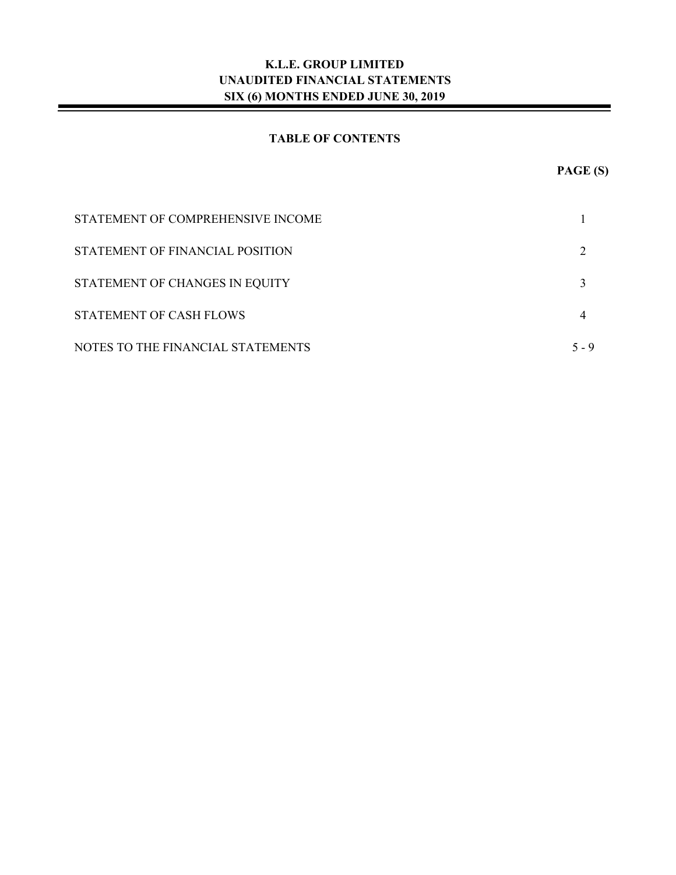### **TABLE OF CONTENTS**

| STATEMENT OF COMPREHENSIVE INCOME |       |
|-----------------------------------|-------|
| STATEMENT OF FINANCIAL POSITION   |       |
| STATEMENT OF CHANGES IN EQUITY    |       |
| STATEMENT OF CASH FLOWS           |       |
| NOTES TO THE FINANCIAL STATEMENTS | 5 - 9 |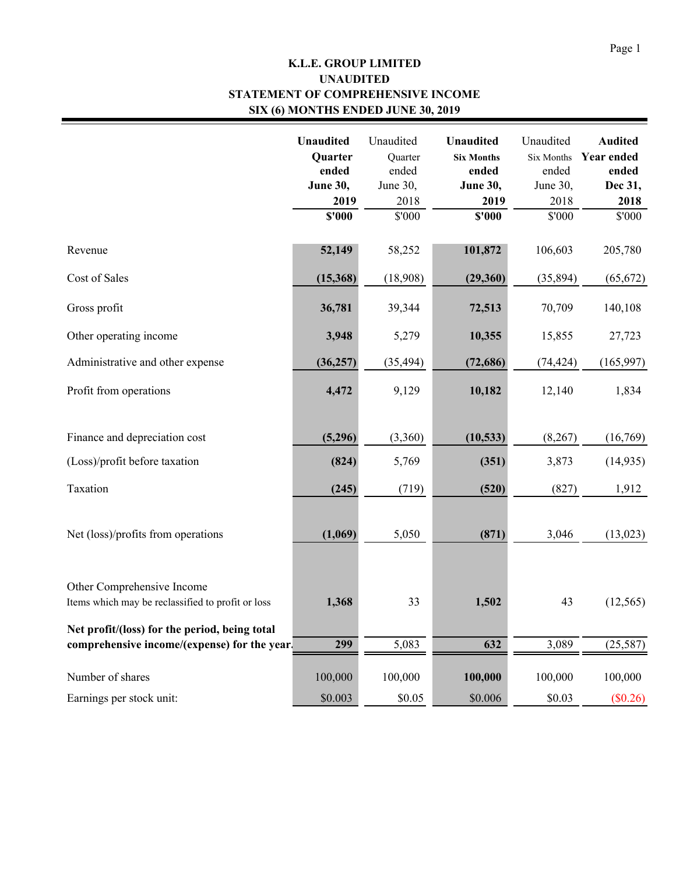## **K.L.E. GROUP LIMITED STATEMENT OF COMPREHENSIVE INCOME SIX (6) MONTHS ENDED JUNE 30, 2019 UNAUDITED**

|                                                                                               | <b>Unaudited</b><br><b>Quarter</b><br>ended<br><b>June 30,</b><br>2019<br>\$'000 | Unaudited<br>Quarter<br>ended<br>June 30,<br>2018<br>\$'000 | <b>Unaudited</b><br><b>Six Months</b><br>ended<br><b>June 30,</b><br>2019<br>\$'000 | Unaudited<br><b>Six Months</b><br>ended<br>June 30,<br>2018<br>\$'000 | <b>Audited</b><br><b>Year ended</b><br>ended<br>Dec 31,<br>2018<br>\$'000 |
|-----------------------------------------------------------------------------------------------|----------------------------------------------------------------------------------|-------------------------------------------------------------|-------------------------------------------------------------------------------------|-----------------------------------------------------------------------|---------------------------------------------------------------------------|
| Revenue                                                                                       | 52,149                                                                           | 58,252                                                      | 101,872                                                                             | 106,603                                                               | 205,780                                                                   |
| Cost of Sales                                                                                 | (15,368)                                                                         | (18,908)                                                    | (29, 360)                                                                           | (35, 894)                                                             | (65, 672)                                                                 |
| Gross profit                                                                                  | 36,781                                                                           | 39,344                                                      | 72,513                                                                              | 70,709                                                                | 140,108                                                                   |
| Other operating income                                                                        | 3,948                                                                            | 5,279                                                       | 10,355                                                                              | 15,855                                                                | 27,723                                                                    |
| Administrative and other expense                                                              | (36, 257)                                                                        | (35, 494)                                                   | (72, 686)                                                                           | (74, 424)                                                             | (165, 997)                                                                |
| Profit from operations                                                                        | 4,472                                                                            | 9,129                                                       | 10,182                                                                              | 12,140                                                                | 1,834                                                                     |
| Finance and depreciation cost                                                                 | (5,296)                                                                          | (3,360)                                                     | (10, 533)                                                                           | (8,267)                                                               | (16,769)                                                                  |
| (Loss)/profit before taxation                                                                 | (824)                                                                            | 5,769                                                       | (351)                                                                               | 3,873                                                                 | (14, 935)                                                                 |
| Taxation                                                                                      | (245)                                                                            | (719)                                                       | (520)                                                                               | (827)                                                                 | 1,912                                                                     |
| Net (loss)/profits from operations                                                            | (1,069)                                                                          | 5,050                                                       | (871)                                                                               | 3,046                                                                 | (13, 023)                                                                 |
| Other Comprehensive Income<br>Items which may be reclassified to profit or loss               | 1,368                                                                            | 33                                                          | 1,502                                                                               | 43                                                                    | (12, 565)                                                                 |
| Net profit/(loss) for the period, being total<br>comprehensive income/(expense) for the year. | 299                                                                              | 5,083                                                       | 632                                                                                 | 3,089                                                                 | (25, 587)                                                                 |
| Number of shares                                                                              | 100,000                                                                          | 100,000                                                     | 100,000                                                                             | 100,000                                                               | 100,000                                                                   |
| Earnings per stock unit:                                                                      | \$0.003                                                                          | \$0.05                                                      | \$0.006                                                                             | \$0.03                                                                | (\$0.26)                                                                  |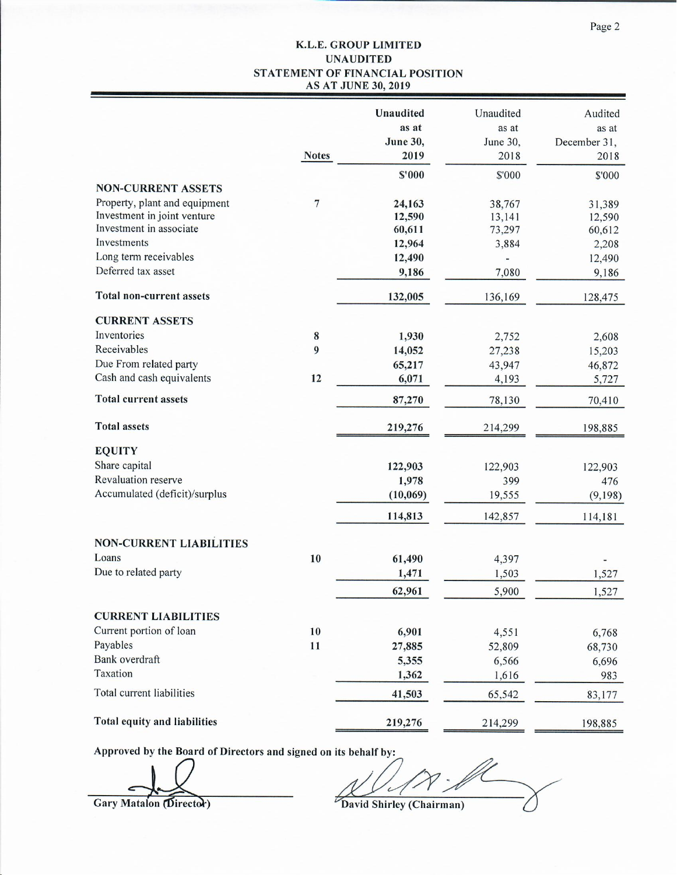#### K.L.E. GROUP LIMITED **UNAUDITED** STATEMENT OF FINANCIAL POSITION **AS AT JUNE 30, 2019**

|                                |                | Unaudited<br>as at<br><b>June 30,</b> | Unaudited<br>as at<br>June 30, | Audited<br>as at<br>December 31, |
|--------------------------------|----------------|---------------------------------------|--------------------------------|----------------------------------|
|                                | <b>Notes</b>   | 2019                                  | 2018                           | 2018                             |
|                                |                | \$'000                                | \$'000                         | \$'000                           |
| <b>NON-CURRENT ASSETS</b>      |                |                                       |                                |                                  |
| Property, plant and equipment  | $\overline{7}$ | 24,163                                | 38,767                         | 31,389                           |
| Investment in joint venture    |                | 12,590                                | 13,141                         | 12,590                           |
| Investment in associate        |                | 60,611                                | 73,297                         | 60,612                           |
| Investments                    |                | 12,964                                | 3,884                          | 2,208                            |
| Long term receivables          |                | 12,490                                |                                | 12,490                           |
| Deferred tax asset             |                | 9,186                                 | 7,080                          | 9,186                            |
| Total non-current assets       |                | 132,005                               | 136,169                        | 128,475                          |
| <b>CURRENT ASSETS</b>          |                |                                       |                                |                                  |
| Inventories                    | $\bf{8}$       | 1,930                                 | 2,752                          | 2,608                            |
| Receivables                    | 9              | 14,052                                | 27,238                         | 15,203                           |
| Due From related party         |                | 65,217                                | 43,947                         | 46,872                           |
| Cash and cash equivalents      | 12             | 6,071                                 | 4,193                          | 5,727                            |
| <b>Total current assets</b>    |                | 87,270                                | 78,130                         | 70,410                           |
| <b>Total assets</b>            |                | 219,276                               | 214,299                        | 198,885                          |
| <b>EQUITY</b>                  |                |                                       |                                |                                  |
| Share capital                  |                | 122,903                               | 122,903                        | 122,903                          |
| Revaluation reserve            |                | 1,978                                 | 399                            | 476                              |
| Accumulated (deficit)/surplus  |                | (10,069)                              | 19,555                         | (9,198)                          |
|                                |                | 114,813                               | 142,857                        | 114,181                          |
| <b>NON-CURRENT LIABILITIES</b> |                |                                       |                                |                                  |
| Loans                          | 10             | 61,490                                | 4,397                          |                                  |
| Due to related party           |                | 1,471                                 | 1,503                          | 1,527                            |
|                                |                | 62,961                                | 5,900                          | 1,527                            |
| <b>CURRENT LIABILITIES</b>     |                |                                       |                                |                                  |
| Current portion of loan        | 10             | 6,901                                 | 4,551                          | 6,768                            |
| Payables                       | 11             | 27,885                                | 52,809                         | 68,730                           |
| Bank overdraft                 |                | 5,355                                 | 6,566                          | 6,696                            |
| Taxation                       |                | 1,362                                 | 1,616                          | 983                              |
| Total current liabilities      |                | 41,503                                | 65,542                         | 83,177                           |
| Total equity and liabilities   |                | 219,276                               | 214,299                        | 198,885                          |

Approved by the Board of Directors and signed on its behalf by:

 $\cdot$  fl  $\overline{c}$ David Shirley (Chairman)

Gary Matalon (Director)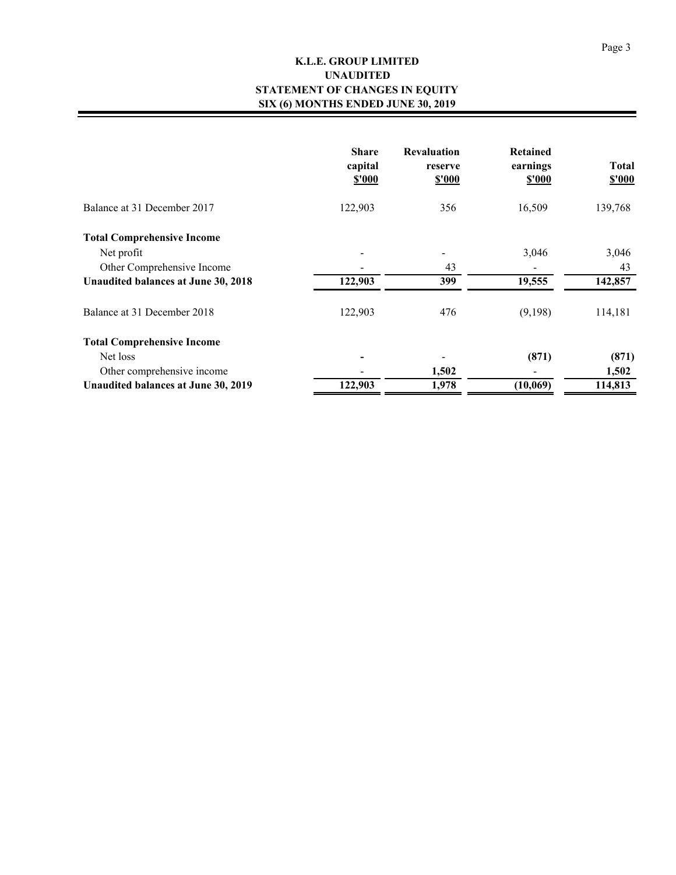### **K.L.E. GROUP LIMITED STATEMENT OF CHANGES IN EQUITY SIX (6) MONTHS ENDED JUNE 30, 2019 UNAUDITED**

|                                     | <b>Share</b><br>capital<br>\$'000 | <b>Revaluation</b><br>reserve<br><b>\$'000</b> | <b>Retained</b><br>earnings<br>\$'000 | <b>Total</b><br><b>\$'000</b> |
|-------------------------------------|-----------------------------------|------------------------------------------------|---------------------------------------|-------------------------------|
| Balance at 31 December 2017         | 122,903                           | 356                                            | 16,509                                | 139,768                       |
| <b>Total Comprehensive Income</b>   |                                   |                                                |                                       |                               |
| Net profit                          |                                   |                                                | 3,046                                 | 3,046                         |
| Other Comprehensive Income          |                                   | 43                                             |                                       | 43                            |
| Unaudited balances at June 30, 2018 | 122,903                           | 399                                            | 19,555                                | 142,857                       |
| Balance at 31 December 2018         | 122,903                           | 476                                            | (9,198)                               | 114,181                       |
| <b>Total Comprehensive Income</b>   |                                   |                                                |                                       |                               |
| Net loss                            |                                   |                                                | (871)                                 | (871)                         |
| Other comprehensive income          |                                   | 1,502                                          |                                       | 1,502                         |
| Unaudited balances at June 30, 2019 | 122,903                           | 1,978                                          | (10,069)                              | 114,813                       |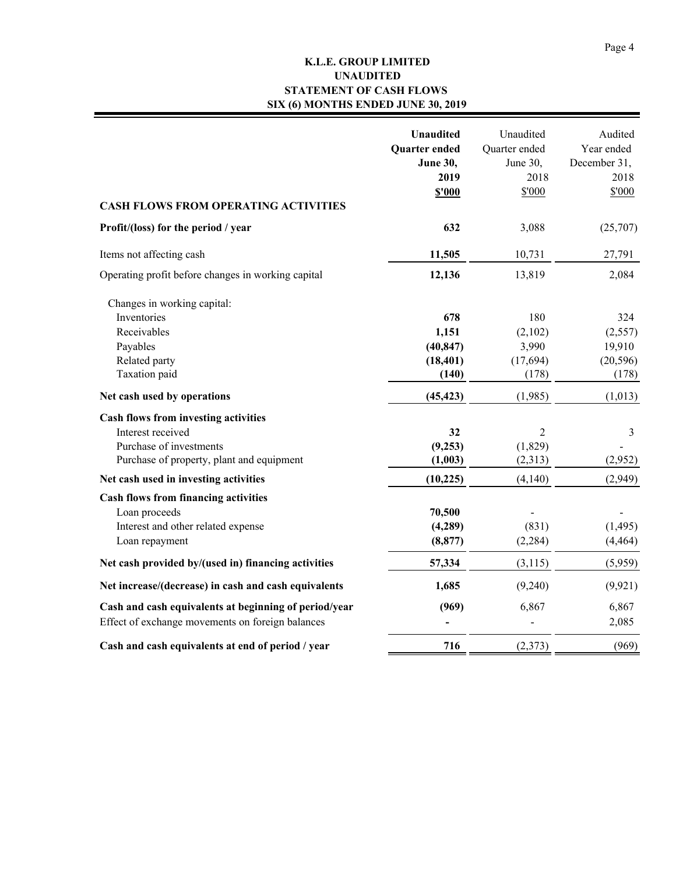### **K.L.E. GROUP LIMITED STATEMENT OF CASH FLOWS SIX (6) MONTHS ENDED JUNE 30, 2019 UNAUDITED**

| <b>CASH FLOWS FROM OPERATING ACTIVITIES</b>                                                                                              | <b>Unaudited</b><br>Quarter ended<br><b>June 30,</b><br>2019<br><b>\$'000</b> | Unaudited<br>Quarter ended<br>June 30,<br>2018<br>\$'000 | Audited<br>Year ended<br>December 31,<br>2018<br>\$'000 |
|------------------------------------------------------------------------------------------------------------------------------------------|-------------------------------------------------------------------------------|----------------------------------------------------------|---------------------------------------------------------|
| Profit/(loss) for the period / year                                                                                                      | 632                                                                           | 3,088                                                    | (25,707)                                                |
| Items not affecting cash                                                                                                                 | 11,505                                                                        | 10,731                                                   | 27,791                                                  |
| Operating profit before changes in working capital                                                                                       | 12,136                                                                        | 13,819                                                   | 2,084                                                   |
| Changes in working capital:<br>Inventories<br>Receivables<br>Payables<br>Related party<br>Taxation paid                                  | 678<br>1,151<br>(40, 847)<br>(18, 401)<br>(140)                               | 180<br>(2,102)<br>3,990<br>(17, 694)<br>(178)            | 324<br>(2,557)<br>19,910<br>(20, 596)<br>(178)          |
| Net cash used by operations                                                                                                              | (45, 423)                                                                     | (1,985)                                                  | (1,013)                                                 |
| <b>Cash flows from investing activities</b><br>Interest received<br>Purchase of investments<br>Purchase of property, plant and equipment | 32<br>(9,253)<br>(1,003)                                                      | $\overline{2}$<br>(1,829)<br>(2,313)                     | 3<br>(2,952)                                            |
| Net cash used in investing activities                                                                                                    | (10, 225)                                                                     | (4,140)                                                  | (2,949)                                                 |
| <b>Cash flows from financing activities</b><br>Loan proceeds<br>Interest and other related expense<br>Loan repayment                     | 70,500<br>(4,289)<br>(8, 877)                                                 | (831)<br>(2, 284)                                        | (1, 495)<br>(4, 464)                                    |
| Net cash provided by/(used in) financing activities                                                                                      | 57,334                                                                        | (3,115)                                                  | (5,959)                                                 |
| Net increase/(decrease) in cash and cash equivalents                                                                                     | 1,685                                                                         | (9,240)                                                  | (9, 921)                                                |
| Cash and cash equivalents at beginning of period/year<br>Effect of exchange movements on foreign balances                                | (969)                                                                         | 6,867                                                    | 6,867<br>2,085                                          |
| Cash and cash equivalents at end of period / year                                                                                        | 716                                                                           | (2,373)                                                  | (969)                                                   |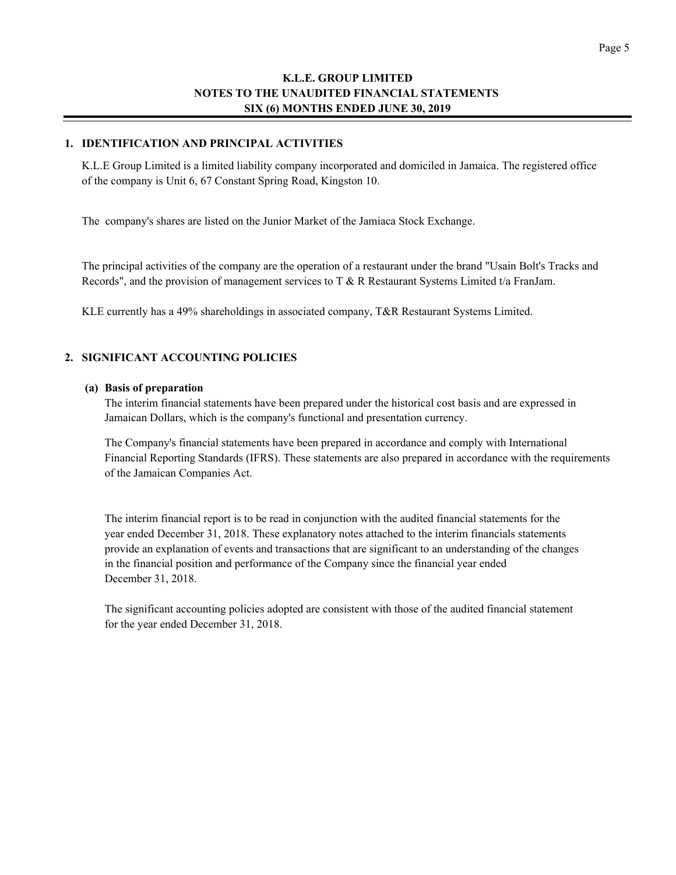#### **1. IDENTIFICATION AND PRINCIPAL ACTIVITIES**

K.L.E Group Limited is a limited liability company incorporated and domiciled in Jamaica. The registered office of the company is Unit 6, 67 Constant Spring Road, Kingston 10.

The company's shares are listed on the Junior Market of the Jamiaca Stock Exchange.

The principal activities of the company are the operation of a restaurant under the brand "Usain Bolt's Tracks and Records", and the provision of management services to T & R Restaurant Systems Limited t/a FranJam.

KLE currently has a 49% shareholdings in associated company, T&R Restaurant Systems Limited.

#### **2. SIGNIFICANT ACCOUNTING POLICIES**

#### **(a) Basis of preparation**

The interim financial statements have been prepared under the historical cost basis and are expressed in Jamaican Dollars, which is the company's functional and presentation currency.

The Company's financial statements have been prepared in accordance and comply with International Financial Reporting Standards (IFRS). These statements are also prepared in accordance with the requirements of the Jamaican Companies Act.

The interim financial report is to be read in conjunction with the audited financial statements for the year ended December 31, 2018. These explanatory notes attached to the interim financials statements provide an explanation of events and transactions that are significant to an understanding of the changes in the financial position and performance of the Company since the financial year ended December 31, 2018.

The significant accounting policies adopted are consistent with those of the audited financial statement for the year ended December 31, 2018.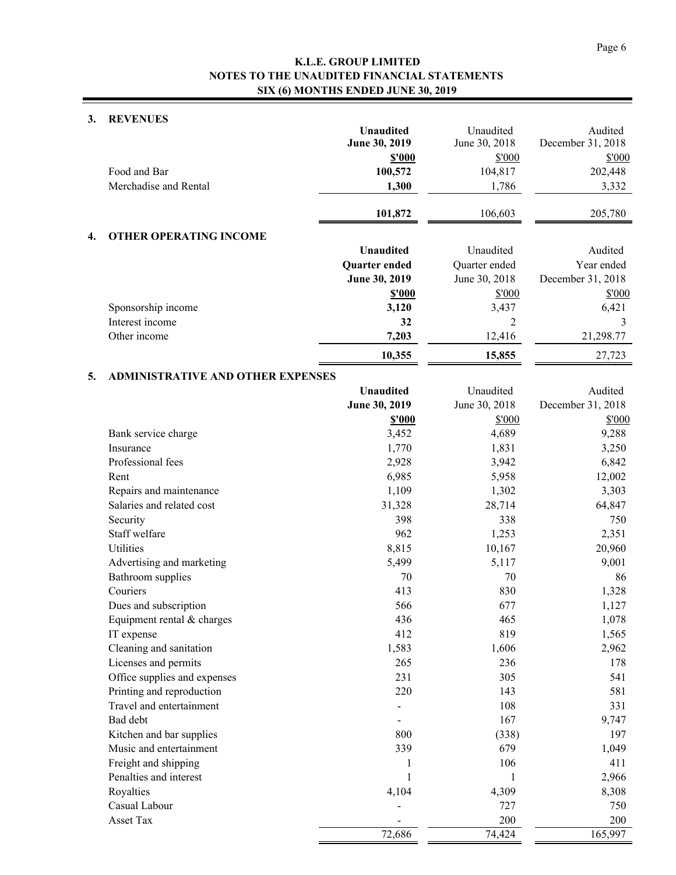#### **3. REVENUES**

|    |                                          | <b>Unaudited</b><br>June 30, 2019 | Unaudited<br>June 30, 2018 | Audited<br>December 31, 2018 |
|----|------------------------------------------|-----------------------------------|----------------------------|------------------------------|
|    |                                          | <b>\$'000</b>                     | \$'000                     | \$'000                       |
|    | Food and Bar                             | 100,572                           | 104,817                    | 202,448                      |
|    | Merchadise and Rental                    | 1,300                             | 1,786                      | 3,332                        |
|    |                                          | 101,872                           | 106,603                    | 205,780                      |
| 4. | <b>OTHER OPERATING INCOME</b>            |                                   |                            |                              |
|    |                                          | <b>Unaudited</b>                  | Unaudited                  | Audited                      |
|    |                                          | Quarter ended                     | Quarter ended              | Year ended                   |
|    |                                          | June 30, 2019                     | June 30, 2018              | December 31, 2018            |
|    |                                          | \$'000                            | \$'000                     | \$'000                       |
|    | Sponsorship income                       | 3,120                             | 3,437                      | 6,421                        |
|    | Interest income                          | 32                                | 2                          | 3                            |
|    | Other income                             | 7,203                             | 12,416                     | 21,298.77                    |
|    |                                          | 10,355                            | 15,855                     | 27,723                       |
| 5. | <b>ADMINISTRATIVE AND OTHER EXPENSES</b> |                                   |                            |                              |
|    |                                          | <b>Unaudited</b>                  | Unaudited                  | Audited                      |
|    |                                          | June 30, 2019                     | June 30, 2018              | December 31, 2018            |
|    |                                          | <b>\$'000</b>                     | \$'000                     | \$'000                       |
|    | Bank service charge                      | 3,452                             | 4,689                      | 9,288                        |
|    | Insurance                                | 1,770                             | 1,831                      | 3,250                        |
|    | Professional fees                        | 2,928                             | 3,942                      | 6,842                        |
|    | Rent                                     | 6,985                             | 5,958                      | 12,002                       |
|    | Repairs and maintenance                  | 1,109                             | 1,302                      | 3,303                        |
|    | Salaries and related cost                | 31,328                            | 28,714                     | 64,847                       |
|    | Security                                 | 398                               | 338                        | 750                          |
|    | Staff welfare                            | 962                               | 1,253                      | 2,351                        |
|    | Utilities                                | 8,815                             | 10,167                     | 20,960                       |
|    | Advertising and marketing                | 5,499                             | 5,117                      | 9,001                        |
|    | Bathroom supplies                        | 70                                | 70                         | 86                           |
|    | Couriers                                 | 413                               | 830                        | 1,328                        |
|    | Dues and subscription                    | 566                               | 677                        | 1,127                        |
|    | Equipment rental & charges               | 436                               | 465                        | 1,078                        |
|    | IT expense                               | 412                               | 819                        | 1,565                        |
|    | Cleaning and sanitation                  | 1,583                             | 1,606                      | 2,962                        |
|    | Licenses and permits                     | 265                               | 236                        | 178                          |
|    | Office supplies and expenses             | 231                               | 305                        | 541                          |
|    | Printing and reproduction                | 220                               | 143                        | 581                          |
|    | Travel and entertainment                 |                                   | 108                        | 331                          |
|    | Bad debt                                 |                                   | 167                        | 9,747                        |
|    | Kitchen and bar supplies                 | 800                               | (338)                      | 197                          |
|    | Music and entertainment                  | 339                               | 679                        | 1,049                        |
|    | Freight and shipping                     | 1                                 | 106                        | 411                          |
|    | Penalties and interest                   | 1                                 | 1                          | 2,966                        |
|    | Royalties                                | 4,104                             | 4,309                      | 8,308                        |
|    | Casual Labour                            |                                   | 727                        | 750                          |
|    | Asset Tax                                |                                   | 200                        | 200                          |
|    |                                          | 72,686                            | 74,424                     | 165,997                      |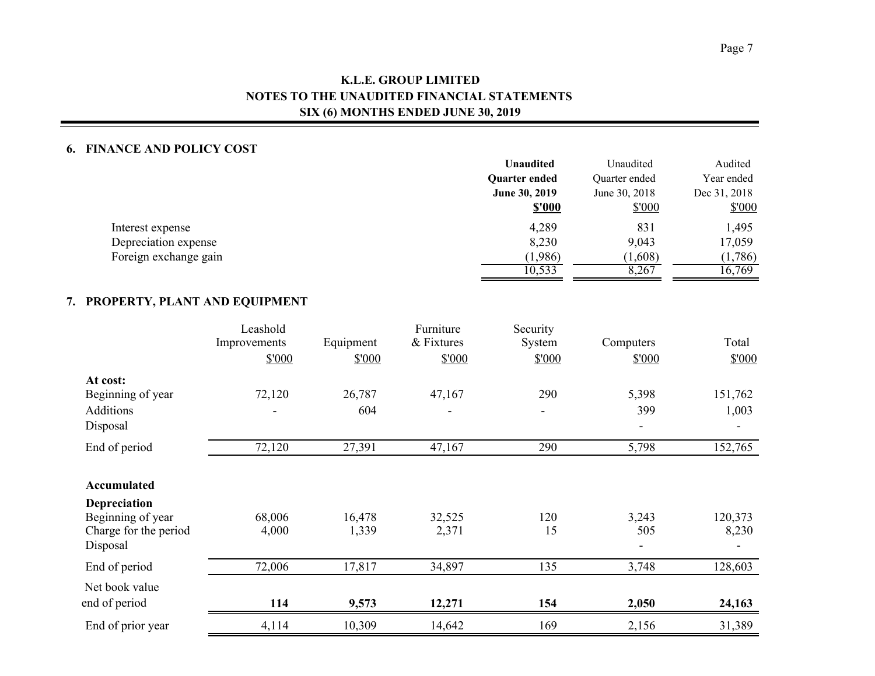#### **6. FINANCE AND POLICY COST**

|                       | <b>Unaudited</b>     | Unaudited     | Audited      |
|-----------------------|----------------------|---------------|--------------|
|                       | <b>Ouarter ended</b> | Quarter ended | Year ended   |
|                       | June 30, 2019        | June 30, 2018 | Dec 31, 2018 |
|                       | <b>\$'000</b>        | \$'000        | \$'000       |
| Interest expense      | 4,289                | 831           | 1,495        |
| Depreciation expense  | 8,230                | 9,043         | 17,059       |
| Foreign exchange gain | (1,986)              | (1,608)       | (1,786)      |
|                       | 10,533               | 8,267         | 16,769       |

### **7. PROPERTY, PLANT AND EQUIPMENT**

|                                                                        | Leashold<br>Improvements<br>\$'000 | Equipment<br>\$'000 | Furniture<br>& Fixtures<br>\$'000 | Security<br>System<br>\$'000 | Computers<br>\$'000 | Total<br>\$'000  |
|------------------------------------------------------------------------|------------------------------------|---------------------|-----------------------------------|------------------------------|---------------------|------------------|
| At cost:                                                               |                                    |                     |                                   |                              |                     |                  |
| Beginning of year                                                      | 72,120                             | 26,787              | 47,167                            | 290                          | 5,398               | 151,762          |
| Additions                                                              |                                    | 604                 |                                   |                              | 399                 | 1,003            |
| Disposal                                                               |                                    |                     |                                   |                              |                     |                  |
| End of period                                                          | 72,120                             | 27,391              | 47,167                            | 290                          | 5,798               | 152,765          |
| Accumulated                                                            |                                    |                     |                                   |                              |                     |                  |
| Depreciation<br>Beginning of year<br>Charge for the period<br>Disposal | 68,006<br>4,000                    | 16,478<br>1,339     | 32,525<br>2,371                   | 120<br>15                    | 3,243<br>505        | 120,373<br>8,230 |
| End of period                                                          | 72,006                             | 17,817              | 34,897                            | 135                          | 3,748               | 128,603          |
| Net book value<br>end of period                                        | 114                                | 9,573               | 12,271                            | 154                          | 2,050               | 24,163           |
| End of prior year                                                      | 4,114                              | 10,309              | 14,642                            | 169                          | 2,156               | 31,389           |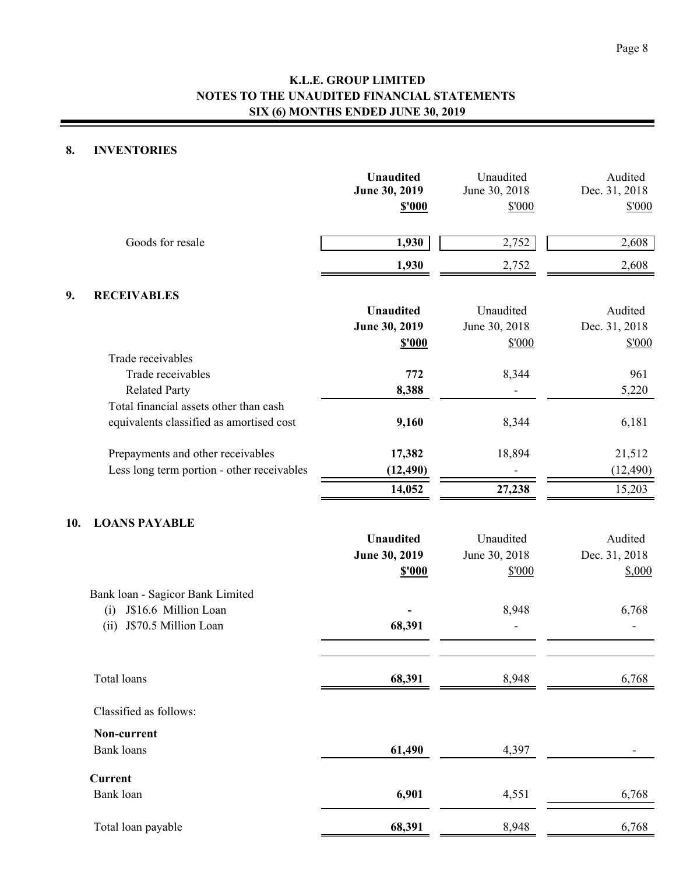### **8. INVENTORIES**

|     |                                                                                                 | <b>Unaudited</b><br>June 30, 2019<br><b>\$'000</b> | Unaudited<br>June 30, 2018<br>\$'000 | Audited<br>Dec. 31, 2018<br>\$'000 |
|-----|-------------------------------------------------------------------------------------------------|----------------------------------------------------|--------------------------------------|------------------------------------|
|     | Goods for resale                                                                                | 1,930                                              | 2,752                                | 2,608                              |
|     |                                                                                                 | 1,930                                              | 2,752                                | 2,608                              |
| 9.  | <b>RECEIVABLES</b>                                                                              |                                                    |                                      |                                    |
|     |                                                                                                 | <b>Unaudited</b><br>June 30, 2019                  | Unaudited<br>June 30, 2018           | Audited<br>Dec. 31, 2018           |
|     | Trade receivables                                                                               | \$'000                                             | \$'000                               | \$'000                             |
|     | Trade receivables<br><b>Related Party</b>                                                       | 772<br>8,388                                       | 8,344                                | 961<br>5,220                       |
|     | Total financial assets other than cash<br>equivalents classified as amortised cost              | 9,160                                              | 8,344                                | 6,181                              |
|     | Prepayments and other receivables<br>Less long term portion - other receivables                 | 17,382<br>(12, 490)                                | 18,894                               | 21,512<br>(12, 490)                |
| 10. | <b>LOANS PAYABLE</b>                                                                            | 14,052                                             | 27,238                               | 15,203                             |
|     |                                                                                                 | <b>Unaudited</b><br>June 30, 2019<br><b>\$'000</b> | Unaudited<br>June 30, 2018<br>\$'000 | Audited<br>Dec. 31, 2018<br>\$,000 |
|     | Bank loan - Sagicor Bank Limited<br>J\$16.6 Million Loan<br>(i)<br>J\$70.5 Million Loan<br>(ii) | 68,391                                             | 8,948                                | 6,768                              |
|     | Total loans                                                                                     | 68,391                                             | 8,948                                | 6,768                              |
|     | Classified as follows:                                                                          |                                                    |                                      |                                    |
|     | Non-current                                                                                     |                                                    |                                      |                                    |
|     | <b>Bank</b> loans                                                                               | 61,490                                             | 4,397                                |                                    |
|     | <b>Current</b><br>Bank loan                                                                     | 6,901                                              | 4,551                                | 6,768                              |
|     | Total loan payable                                                                              | 68,391                                             | 8,948                                | 6,768                              |